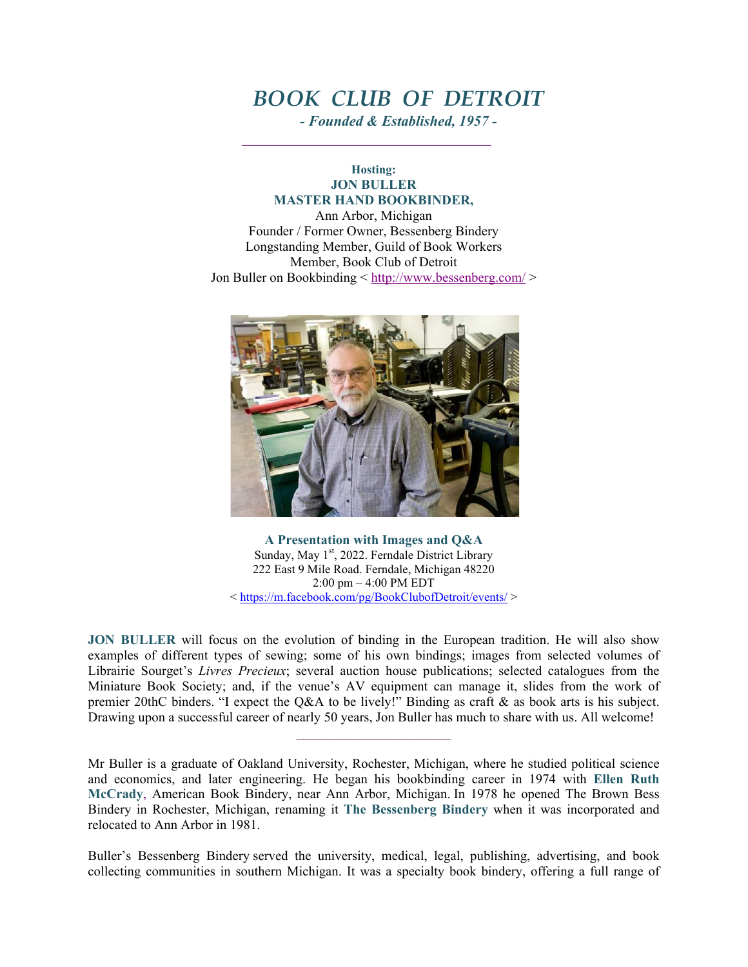## *BOOK CLUB OF DETROIT*

*- Founded & Established, 1957 -*

**Hosting: JON BULLER MASTER HAND BOOKBINDER,** Ann Arbor, Michigan Founder / Former Owner, Bessenberg Bindery

 $\mathcal{L}_\text{max}$  and the contract of the contract of the contract of the contract of the contract of the contract of the contract of the contract of the contract of the contract of the contract of the contract of the contrac

Longstanding Member, Guild of Book Workers Member, Book Club of Detroit Jon Buller on Bookbinding < http://www.bessenberg.com/ >



**A Presentation with Images and Q&A** Sunday, May 1<sup>st</sup>, 2022. Ferndale District Library 222 East 9 Mile Road. Ferndale, Michigan 48220 2:00 pm – 4:00 PM EDT < https://m.facebook.com/pg/BookClubofDetroit/events/ >

**JON BULLER** will focus on the evolution of binding in the European tradition. He will also show examples of different types of sewing; some of his own bindings; images from selected volumes of Librairie Sourget's *Livres Precieux*; several auction house publications; selected catalogues from the Miniature Book Society; and, if the venue's AV equipment can manage it, slides from the work of premier 20thC binders. "I expect the Q&A to be lively!" Binding as craft & as book arts is his subject. Drawing upon a successful career of nearly 50 years, Jon Buller has much to share with us. All welcome!

 $\mathcal{L}_\text{max}$ 

Mr Buller is a graduate of Oakland University, Rochester, Michigan, where he studied political science and economics, and later engineering. He began his bookbinding career in 1974 with **Ellen Ruth McCrady**, American Book Bindery, near Ann Arbor, Michigan. In 1978 he opened The Brown Bess Bindery in Rochester, Michigan, renaming it **The Bessenberg Bindery** when it was incorporated and relocated to Ann Arbor in 1981.

Buller's Bessenberg Bindery served the university, medical, legal, publishing, advertising, and book collecting communities in southern Michigan. It was a specialty book bindery, offering a full range of